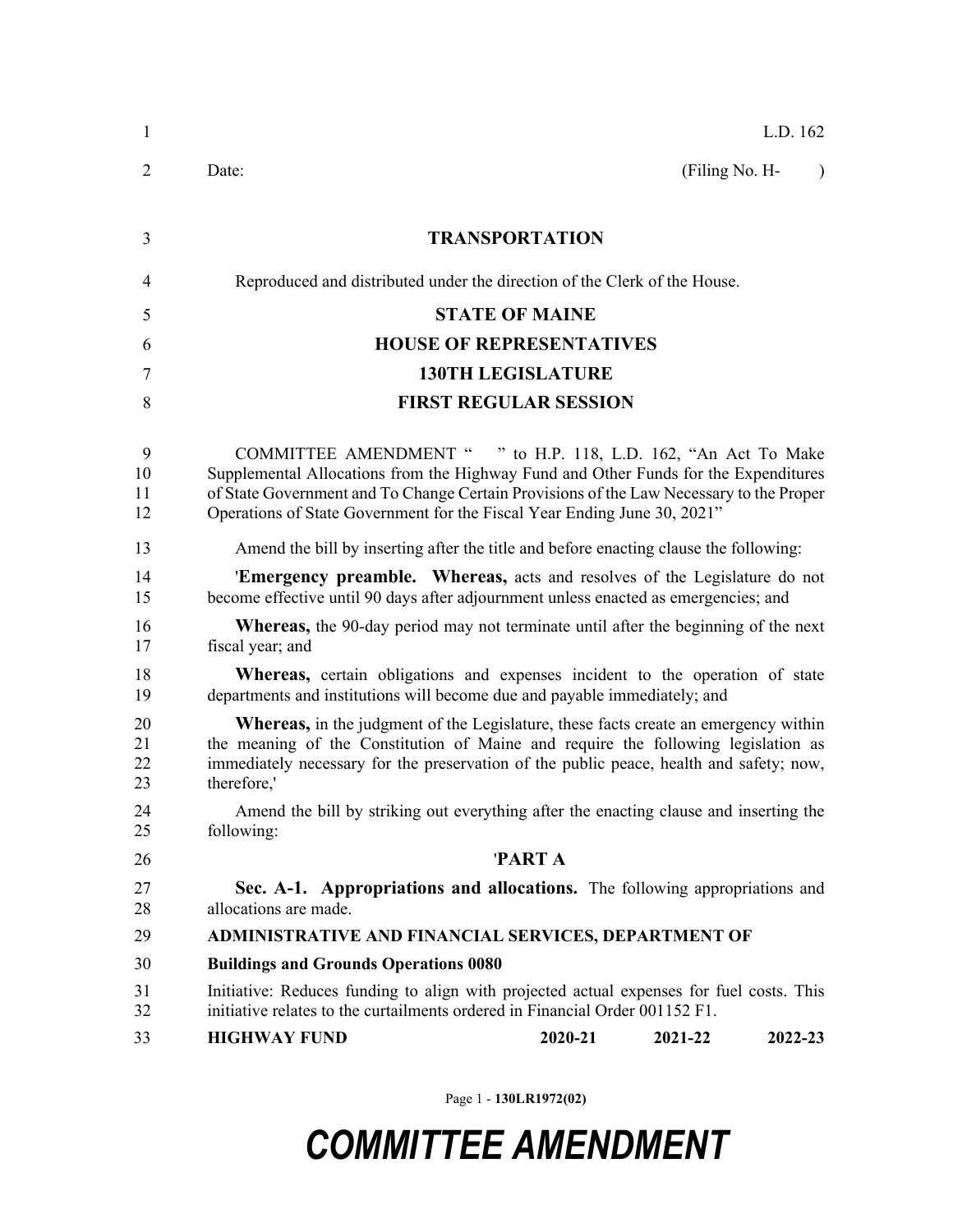| 1                    | L.D. 162                                                                                                                                                                                                                                                                                                                     |  |  |
|----------------------|------------------------------------------------------------------------------------------------------------------------------------------------------------------------------------------------------------------------------------------------------------------------------------------------------------------------------|--|--|
| $\overline{2}$       | (Filing No. H-<br>Date:<br>$\lambda$                                                                                                                                                                                                                                                                                         |  |  |
| 3                    | <b>TRANSPORTATION</b>                                                                                                                                                                                                                                                                                                        |  |  |
| 4                    | Reproduced and distributed under the direction of the Clerk of the House.                                                                                                                                                                                                                                                    |  |  |
| 5                    | <b>STATE OF MAINE</b>                                                                                                                                                                                                                                                                                                        |  |  |
| 6                    | <b>HOUSE OF REPRESENTATIVES</b>                                                                                                                                                                                                                                                                                              |  |  |
| 7                    | <b>130TH LEGISLATURE</b>                                                                                                                                                                                                                                                                                                     |  |  |
| 8                    | <b>FIRST REGULAR SESSION</b>                                                                                                                                                                                                                                                                                                 |  |  |
| 9<br>10<br>11<br>12  | COMMITTEE AMENDMENT " " to H.P. 118, L.D. 162, "An Act To Make<br>Supplemental Allocations from the Highway Fund and Other Funds for the Expenditures<br>of State Government and To Change Certain Provisions of the Law Necessary to the Proper<br>Operations of State Government for the Fiscal Year Ending June 30, 2021" |  |  |
| 13                   | Amend the bill by inserting after the title and before enacting clause the following:                                                                                                                                                                                                                                        |  |  |
| 14<br>15             | 'Emergency preamble. Whereas, acts and resolves of the Legislature do not<br>become effective until 90 days after adjournment unless enacted as emergencies; and                                                                                                                                                             |  |  |
| 16<br>17             | <b>Whereas,</b> the 90-day period may not terminate until after the beginning of the next<br>fiscal year; and                                                                                                                                                                                                                |  |  |
| 18<br>19             | <b>Whereas,</b> certain obligations and expenses incident to the operation of state<br>departments and institutions will become due and payable immediately; and                                                                                                                                                             |  |  |
| 20<br>21<br>22<br>23 | <b>Whereas,</b> in the judgment of the Legislature, these facts create an emergency within<br>the meaning of the Constitution of Maine and require the following legislation as<br>immediately necessary for the preservation of the public peace, health and safety; now,<br>therefore,'                                    |  |  |
| 24<br>25             | Amend the bill by striking out everything after the enacting clause and inserting the<br>following:                                                                                                                                                                                                                          |  |  |
| 26                   | <b>PARTA</b>                                                                                                                                                                                                                                                                                                                 |  |  |
| 27<br>28             | Sec. A-1. Appropriations and allocations. The following appropriations and<br>allocations are made.                                                                                                                                                                                                                          |  |  |
| 29                   | ADMINISTRATIVE AND FINANCIAL SERVICES, DEPARTMENT OF                                                                                                                                                                                                                                                                         |  |  |
| 30                   | <b>Buildings and Grounds Operations 0080</b>                                                                                                                                                                                                                                                                                 |  |  |
| 31<br>32             | Initiative: Reduces funding to align with projected actual expenses for fuel costs. This<br>initiative relates to the curtailments ordered in Financial Order 001152 F1.                                                                                                                                                     |  |  |
| 33                   | <b>HIGHWAY FUND</b><br>2020-21<br>2021-22<br>2022-23                                                                                                                                                                                                                                                                         |  |  |

Page 1 - **130LR1972(02)**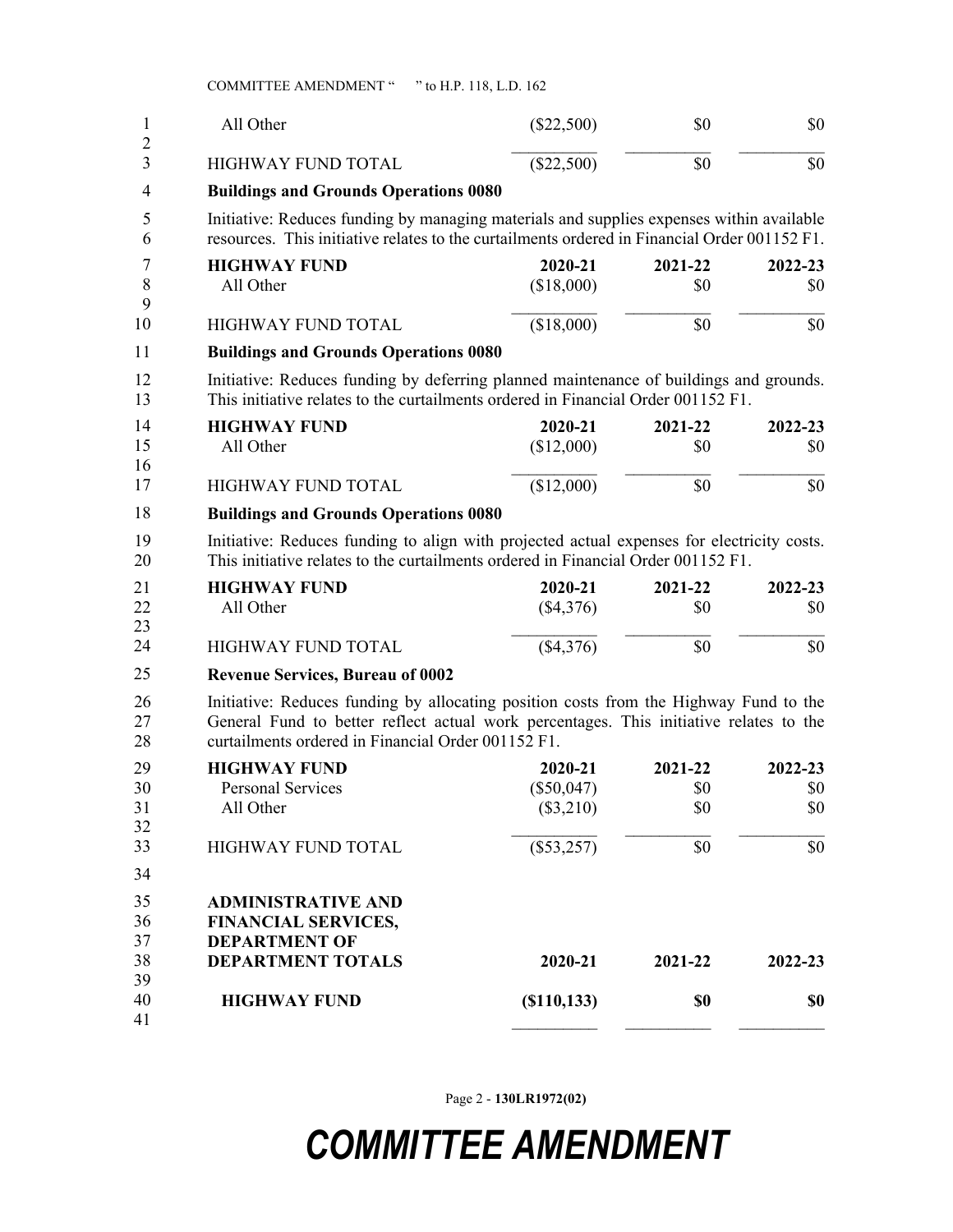COMMITTEE AMENDMENT " " to H.P. 118, L.D. 162

| 1<br>$\overline{2}$  | All Other                                                                                                                                                                                                                             | $(\$22,500)$                           | \$0                   | \$0                   |
|----------------------|---------------------------------------------------------------------------------------------------------------------------------------------------------------------------------------------------------------------------------------|----------------------------------------|-----------------------|-----------------------|
| 3                    | <b>HIGHWAY FUND TOTAL</b>                                                                                                                                                                                                             | (\$22,500)                             | \$0                   | \$0                   |
| 4                    | <b>Buildings and Grounds Operations 0080</b>                                                                                                                                                                                          |                                        |                       |                       |
| 5<br>6               | Initiative: Reduces funding by managing materials and supplies expenses within available<br>resources. This initiative relates to the curtailments ordered in Financial Order 001152 F1.                                              |                                        |                       |                       |
| 7<br>8<br>9          | <b>HIGHWAY FUND</b><br>All Other                                                                                                                                                                                                      | 2020-21<br>(\$18,000)                  | 2021-22<br>\$0        | 2022-23<br>\$0        |
| 10                   | HIGHWAY FUND TOTAL                                                                                                                                                                                                                    | (\$18,000)                             | \$0                   | \$0                   |
| 11                   | <b>Buildings and Grounds Operations 0080</b>                                                                                                                                                                                          |                                        |                       |                       |
| 12<br>13             | Initiative: Reduces funding by deferring planned maintenance of buildings and grounds.<br>This initiative relates to the curtailments ordered in Financial Order 001152 F1.                                                           |                                        |                       |                       |
| 14<br>15<br>16       | <b>HIGHWAY FUND</b><br>All Other                                                                                                                                                                                                      | 2020-21<br>(\$12,000)                  | 2021-22<br>\$0        | 2022-23<br>\$0        |
| 17                   | <b>HIGHWAY FUND TOTAL</b>                                                                                                                                                                                                             | (\$12,000)                             | \$0                   | \$0                   |
| 18                   | <b>Buildings and Grounds Operations 0080</b>                                                                                                                                                                                          |                                        |                       |                       |
| 19<br>20             | Initiative: Reduces funding to align with projected actual expenses for electricity costs.<br>This initiative relates to the curtailments ordered in Financial Order 001152 F1.                                                       |                                        |                       |                       |
| 21<br>22<br>23       | <b>HIGHWAY FUND</b><br>All Other                                                                                                                                                                                                      | 2020-21<br>$(\$4,376)$                 | 2021-22<br>\$0        | 2022-23<br>\$0        |
| 24                   | HIGHWAY FUND TOTAL                                                                                                                                                                                                                    | (\$4,376)                              | \$0                   | \$0                   |
| 25                   | <b>Revenue Services, Bureau of 0002</b>                                                                                                                                                                                               |                                        |                       |                       |
| 26<br>27<br>28       | Initiative: Reduces funding by allocating position costs from the Highway Fund to the<br>General Fund to better reflect actual work percentages. This initiative relates to the<br>curtailments ordered in Financial Order 001152 F1. |                                        |                       |                       |
| 29<br>30<br>31<br>32 | <b>HIGHWAY FUND</b><br><b>Personal Services</b><br>All Other                                                                                                                                                                          | 2020-21<br>$(\$50,047)$<br>$(\$3,210)$ | 2021-22<br>\$0<br>\$0 | 2022-23<br>\$0<br>\$0 |
| 33<br>34             | HIGHWAY FUND TOTAL                                                                                                                                                                                                                    | $(\$53,257)$                           | \$0                   | \$0                   |
| 35<br>36<br>37<br>38 | <b>ADMINISTRATIVE AND</b><br><b>FINANCIAL SERVICES,</b><br><b>DEPARTMENT OF</b><br><b>DEPARTMENT TOTALS</b>                                                                                                                           | 2020-21                                | 2021-22               | 2022-23               |
| 39<br>40<br>41       | <b>HIGHWAY FUND</b>                                                                                                                                                                                                                   | (S110, 133)                            | \$0                   | \$0                   |

Page 2 - **130LR1972(02)**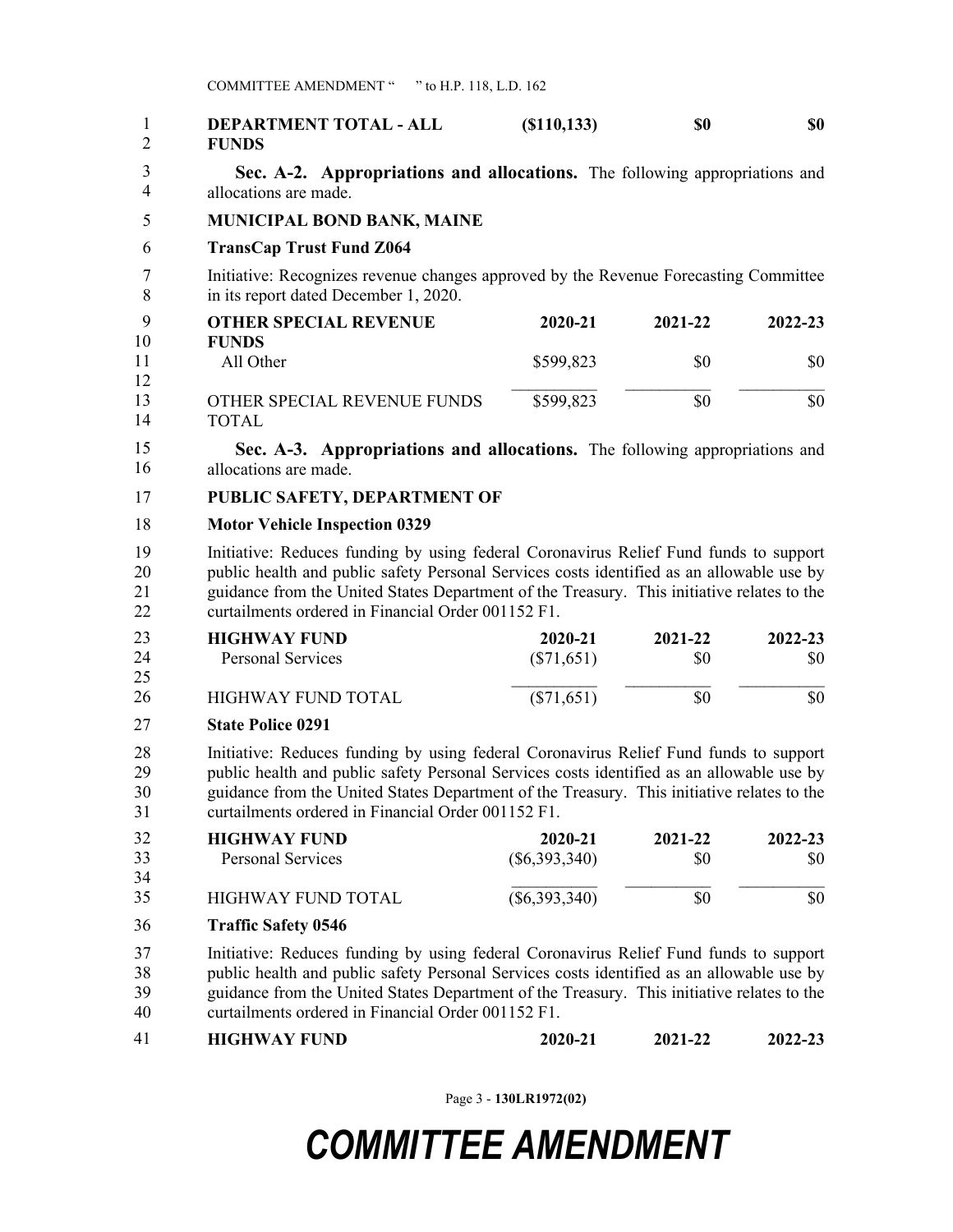| 1<br>$\overline{c}$  | DEPARTMENT TOTAL - ALL<br><b>FUNDS</b>                                                                                                                                                                                                                                                                                                 | (S110, 133)                | \$0            | \$0            |
|----------------------|----------------------------------------------------------------------------------------------------------------------------------------------------------------------------------------------------------------------------------------------------------------------------------------------------------------------------------------|----------------------------|----------------|----------------|
| 3<br>$\overline{4}$  | Sec. A-2. Appropriations and allocations. The following appropriations and<br>allocations are made.                                                                                                                                                                                                                                    |                            |                |                |
| 5                    | MUNICIPAL BOND BANK, MAINE                                                                                                                                                                                                                                                                                                             |                            |                |                |
| 6                    | <b>TransCap Trust Fund Z064</b>                                                                                                                                                                                                                                                                                                        |                            |                |                |
| 7<br>8               | Initiative: Recognizes revenue changes approved by the Revenue Forecasting Committee<br>in its report dated December 1, 2020.                                                                                                                                                                                                          |                            |                |                |
| 9                    | <b>OTHER SPECIAL REVENUE</b>                                                                                                                                                                                                                                                                                                           | 2020-21                    | 2021-22        | 2022-23        |
| 10<br>11             | <b>FUNDS</b><br>All Other                                                                                                                                                                                                                                                                                                              | \$599,823                  | \$0            | \$0            |
| 12<br>13<br>14       | OTHER SPECIAL REVENUE FUNDS<br><b>TOTAL</b>                                                                                                                                                                                                                                                                                            | \$599,823                  | \$0            | \$0            |
| 15<br>16             | Sec. A-3. Appropriations and allocations. The following appropriations and<br>allocations are made.                                                                                                                                                                                                                                    |                            |                |                |
| 17                   | PUBLIC SAFETY, DEPARTMENT OF                                                                                                                                                                                                                                                                                                           |                            |                |                |
| 18                   | <b>Motor Vehicle Inspection 0329</b>                                                                                                                                                                                                                                                                                                   |                            |                |                |
| 19<br>20<br>21<br>22 | Initiative: Reduces funding by using federal Coronavirus Relief Fund funds to support<br>public health and public safety Personal Services costs identified as an allowable use by<br>guidance from the United States Department of the Treasury. This initiative relates to the<br>curtailments ordered in Financial Order 001152 F1. |                            |                |                |
| 23<br>24<br>25       | <b>HIGHWAY FUND</b><br><b>Personal Services</b>                                                                                                                                                                                                                                                                                        | 2020-21<br>$(\$71,651)$    | 2021-22<br>\$0 | 2022-23<br>\$0 |
| 26                   | <b>HIGHWAY FUND TOTAL</b>                                                                                                                                                                                                                                                                                                              | $(\$71,651)$               | \$0            | \$0            |
| 27                   | <b>State Police 0291</b>                                                                                                                                                                                                                                                                                                               |                            |                |                |
| 28<br>29<br>30<br>31 | Initiative: Reduces funding by using federal Coronavirus Relief Fund funds to support<br>public health and public safety Personal Services costs identified as an allowable use by<br>guidance from the United States Department of the Treasury. This initiative relates to the<br>curtailments ordered in Financial Order 001152 F1. |                            |                |                |
| 32<br>33             | <b>HIGHWAY FUND</b><br><b>Personal Services</b>                                                                                                                                                                                                                                                                                        | 2020-21<br>$(\$6,393,340)$ | 2021-22<br>\$0 | 2022-23<br>\$0 |
| 34<br>35             | <b>HIGHWAY FUND TOTAL</b>                                                                                                                                                                                                                                                                                                              | $(\$6,393,340)$            | \$0            | \$0            |
| 36                   | <b>Traffic Safety 0546</b>                                                                                                                                                                                                                                                                                                             |                            |                |                |
| 37<br>38<br>39<br>40 | Initiative: Reduces funding by using federal Coronavirus Relief Fund funds to support<br>public health and public safety Personal Services costs identified as an allowable use by<br>guidance from the United States Department of the Treasury. This initiative relates to the<br>curtailments ordered in Financial Order 001152 F1. |                            |                |                |
| 41                   | <b>HIGHWAY FUND</b>                                                                                                                                                                                                                                                                                                                    | 2020-21                    | 2021-22        | 2022-23        |

Page 3 - **130LR1972(02)**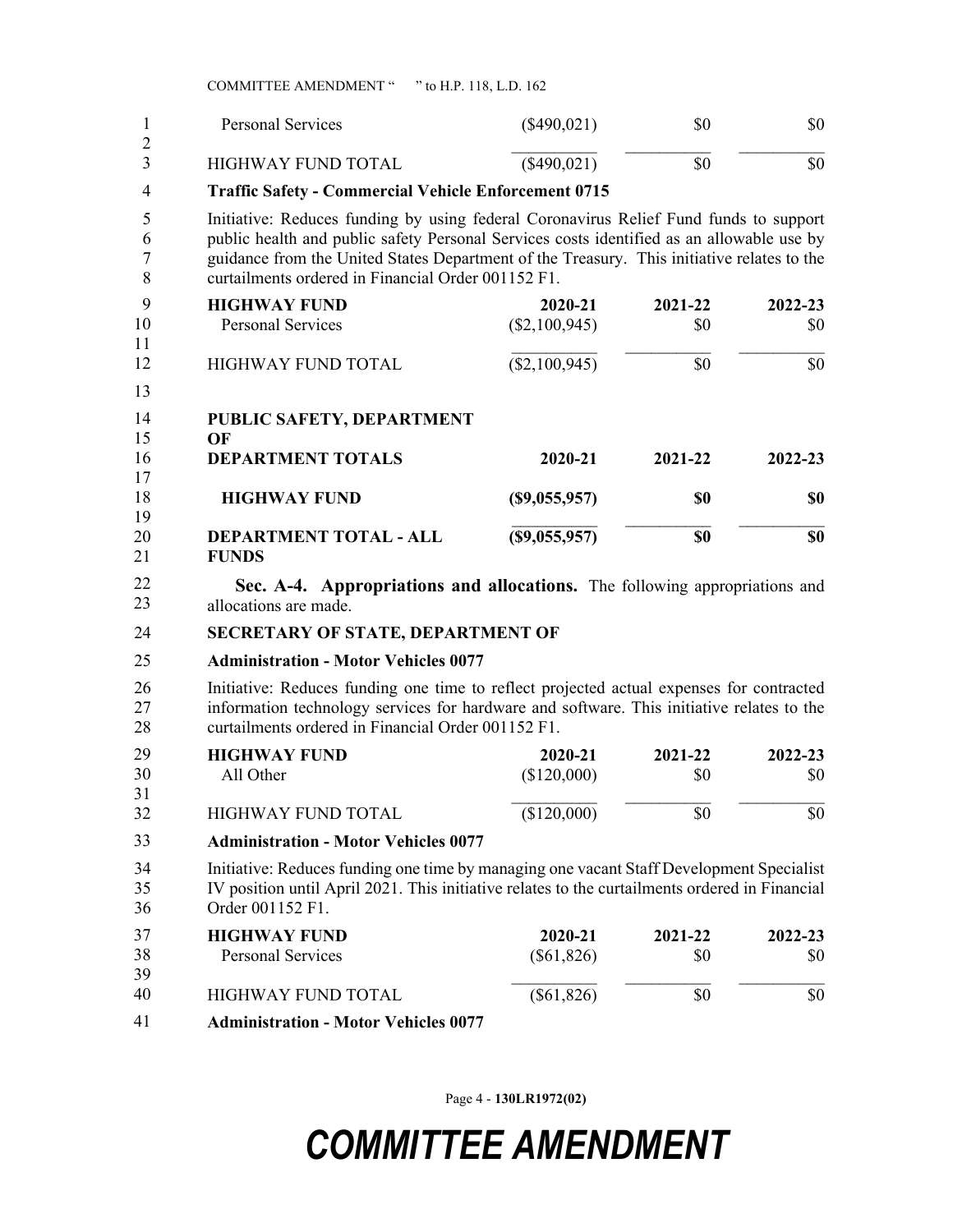COMMITTEE AMENDMENT " " to H.P. 118, L.D. 162

|   | Personal Services  | $(\$490,021)$ | \$0 | \$0 |
|---|--------------------|---------------|-----|-----|
| ∠ | HIGHWAY FUND TOTAL | $(\$490,021)$ | \$0 | \$0 |

1 **Traffic Safety - Commercial Vehicle Enforcement 0715** 4

5 Initiative: Reduces funding by using federal Coronavirus Relief Fund funds to support 6 public health and public safety Personal Services costs identified as an allowable use by 7 guidance from the United States Department of the Treasury. This initiative relates to the 8 curtailments ordered in Financial Order 001152 F1.

|    | <b>HIGHWAY FUND</b> | 2020-21         | 2021-22 | 2022-23 |
|----|---------------------|-----------------|---------|---------|
| 10 | Personal Services   | (\$2,100,945)   | \$0     | SO.     |
|    |                     |                 |         |         |
|    | HIGHWAY FUND TOTAL  | $(\$2,100,945)$ |         | \$0     |

9 13

**PUBLIC SAFETY, DEPARTMENT**  14

| 15 | ОF                            |              |         |         |
|----|-------------------------------|--------------|---------|---------|
| 16 | <b>DEPARTMENT TOTALS</b>      | 2020-21      | 2021-22 | 2022-23 |
| 17 |                               |              |         |         |
| 18 | <b>HIGHWAY FUND</b>           | (S9,055,957) | \$0     | SO.     |
| 19 |                               |              |         |         |
| 20 | <b>DEPARTMENT TOTAL - ALL</b> | (S9,055,957) | \$0     | \$0     |
| 21 | <b>FUNDS</b>                  |              |         |         |

Sec. A-4. Appropriations and allocations. The following appropriations and allocations are made. 22 23

### 24 **SECRETARY OF STATE, DEPARTMENT OF**

### 25 **Administration - Motor Vehicles 0077**

26 Initiative: Reduces funding one time to reflect projected actual expenses for contracted 27 information technology services for hardware and software. This initiative relates to the 28 curtailments ordered in Financial Order 001152 F1.

| 29 | <b>HIGHWAY FUND</b> | 2020-21     | 2021-22 | $2022 - 23$ |
|----|---------------------|-------------|---------|-------------|
| 30 | All Other           | (\$120,000) | \$0     | \$0         |
| 31 |                     |             |         |             |
| 32 | HIGHWAY FUND TOTAL  | (\$120,000) | \$0     | \$0         |

#### 29 **Administration - Motor Vehicles 0077** 33

34 Initiative: Reduces funding one time by managing one vacant Staff Development Specialist 35 IV position until April 2021. This initiative relates to the curtailments ordered in Financial 36 Order 001152 F1.

| 37          | <b>HIGHWAY FUND</b>                | 2020-21      | 2021-22 | 2022-23 |
|-------------|------------------------------------|--------------|---------|---------|
| 38          | <b>Personal Services</b>           | $(\$61,826)$ | \$0     | SO.     |
| 39          |                                    |              |         |         |
| 40          | HIGHWAY FUND TOTAL                 | $(\$61,826)$ | SO      | \$0     |
| $\Lambda$ 1 | Administration Mater Vehicles 0077 |              |         |         |

37 **Administration - Motor Vehicles 0077** 41

Page 4 - **130LR1972(02)**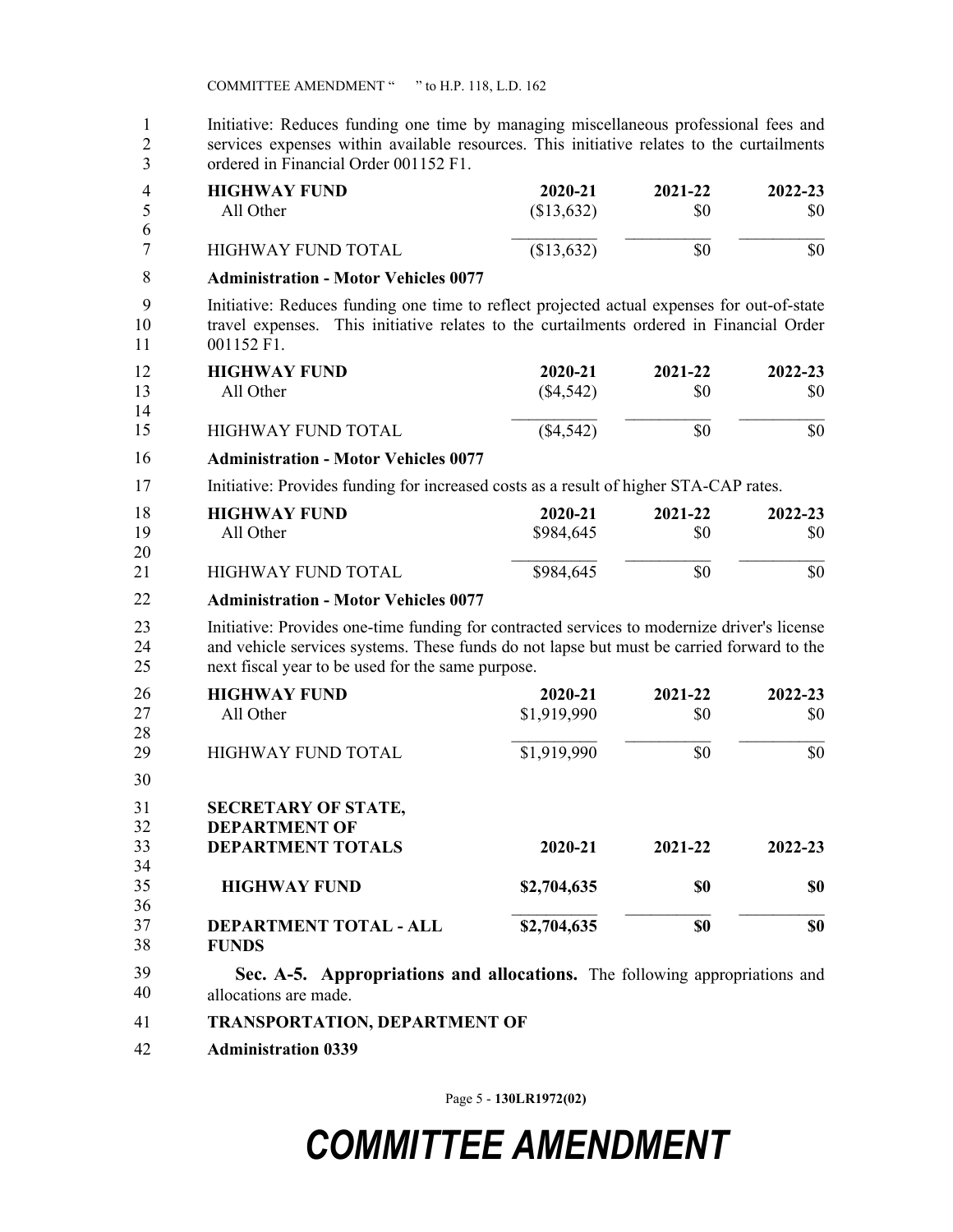1 Initiative: Reduces funding one time by managing miscellaneous professional fees and 2 services expenses within available resources. This initiative relates to the curtailments 3 ordered in Financial Order 001152 F1.

| 4<br>5               | <b>HIGHWAY FUND</b><br>All Other                                                                                                                                                                                                              | 2020-21<br>(\$13,632)  | 2021-22<br>\$0 | 2022-23<br>\$0 |
|----------------------|-----------------------------------------------------------------------------------------------------------------------------------------------------------------------------------------------------------------------------------------------|------------------------|----------------|----------------|
| 6<br>7               | <b>HIGHWAY FUND TOTAL</b>                                                                                                                                                                                                                     | (\$13,632)             | \$0            | \$0            |
| 8                    | <b>Administration - Motor Vehicles 0077</b>                                                                                                                                                                                                   |                        |                |                |
| 9<br>10<br>11        | Initiative: Reduces funding one time to reflect projected actual expenses for out-of-state<br>travel expenses. This initiative relates to the curtailments ordered in Financial Order<br>001152 F1.                                           |                        |                |                |
| 12<br>13<br>14       | <b>HIGHWAY FUND</b><br>All Other                                                                                                                                                                                                              | 2020-21<br>$(\$4,542)$ | 2021-22<br>\$0 | 2022-23<br>\$0 |
| 15                   | <b>HIGHWAY FUND TOTAL</b>                                                                                                                                                                                                                     | $(\$4,542)$            | \$0            | \$0            |
| 16                   | <b>Administration - Motor Vehicles 0077</b>                                                                                                                                                                                                   |                        |                |                |
| 17                   | Initiative: Provides funding for increased costs as a result of higher STA-CAP rates.                                                                                                                                                         |                        |                |                |
| 18<br>19<br>20       | <b>HIGHWAY FUND</b><br>All Other                                                                                                                                                                                                              | 2020-21<br>\$984,645   | 2021-22<br>\$0 | 2022-23<br>\$0 |
| 21                   | <b>HIGHWAY FUND TOTAL</b>                                                                                                                                                                                                                     | \$984,645              | \$0            | \$0            |
| 22                   | <b>Administration - Motor Vehicles 0077</b>                                                                                                                                                                                                   |                        |                |                |
| 23<br>24<br>25       | Initiative: Provides one-time funding for contracted services to modernize driver's license<br>and vehicle services systems. These funds do not lapse but must be carried forward to the<br>next fiscal year to be used for the same purpose. |                        |                |                |
| 26<br>27<br>28       | <b>HIGHWAY FUND</b><br>All Other                                                                                                                                                                                                              | 2020-21<br>\$1,919,990 | 2021-22<br>\$0 | 2022-23<br>\$0 |
| 29                   | <b>HIGHWAY FUND TOTAL</b>                                                                                                                                                                                                                     | \$1,919,990            | \$0            | \$0            |
| 30                   |                                                                                                                                                                                                                                               |                        |                |                |
| 31<br>32<br>33<br>34 | <b>SECRETARY OF STATE,</b><br><b>DEPARTMENT OF</b><br><b>DEPARTMENT TOTALS</b>                                                                                                                                                                | 2020-21                | 2021-22        | 2022-23        |
| 35                   | <b>HIGHWAY FUND</b>                                                                                                                                                                                                                           | \$2,704,635            | \$0            | \$0            |
| 36<br>37<br>38       | DEPARTMENT TOTAL - ALL<br><b>FUNDS</b>                                                                                                                                                                                                        | \$2,704,635            | \$0            | \$0            |
| 39<br>40             | Sec. A-5. Appropriations and allocations. The following appropriations and<br>allocations are made.                                                                                                                                           |                        |                |                |

41 **TRANSPORTATION, DEPARTMENT OF**

42 **Administration 0339**

Page 5 - **130LR1972(02)**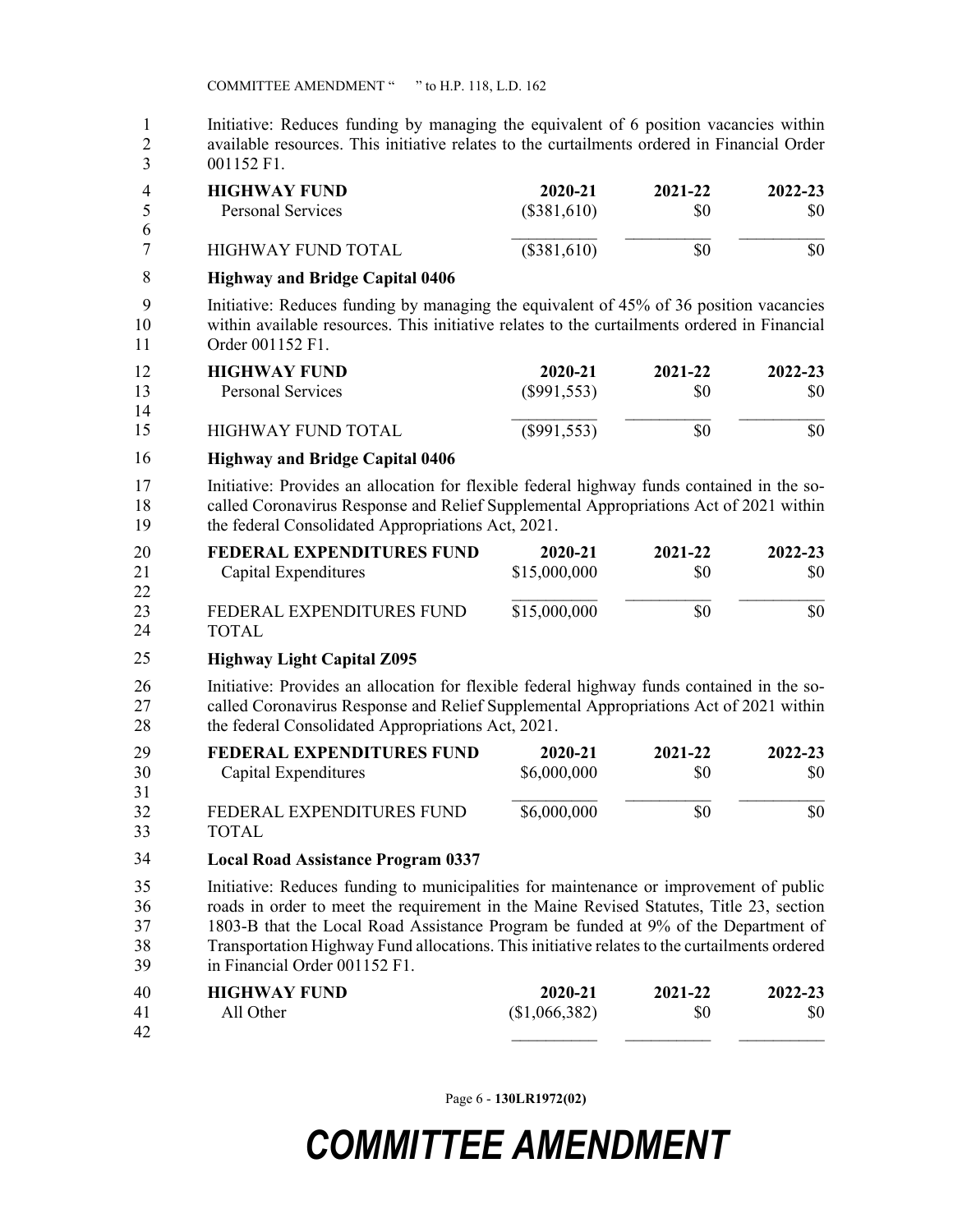1 Initiative: Reduces funding by managing the equivalent of 6 position vacancies within 2 available resources. This initiative relates to the curtailments ordered in Financial Order 3 001152 F1. **HIGHWAY FUND 2020-21 2021-22 2022-23** Personal Services (\$381,610) \$0 \$0 \$0 4 5 6

| ____<br>- | HIGHWAY FUND TOTAL                                                                                  | $(\$381,610)$ | ЭU. | \$0 |
|-----------|-----------------------------------------------------------------------------------------------------|---------------|-----|-----|
|           | $\mathbf{1} \mathbf{B}$ $\mathbf{1} \mathbf{B}$ $\mathbf{A} \mathbf{B}$ $\mathbf{A} \mathbf{B}$<br> |               |     |     |

#### 4 **Highway and Bridge Capital 0406** 8

9 Initiative: Reduces funding by managing the equivalent of 45% of 36 position vacancies 10 within available resources. This initiative relates to the curtailments ordered in Financial 11 Order 001152 F1.

|    | <b>HIGHWAY FUND</b> | 2020-21       | 2021-22 | 2022-23 |
|----|---------------------|---------------|---------|---------|
| 13 | Personal Services   | (S991, 553)   | \$0     | \$0     |
| 14 |                     |               |         |         |
| 15 | HIGHWAY FUND TOTAL  | $(\$991,553)$ | SO      | \$0     |

#### 12 **Highway and Bridge Capital 0406** 16

17 Initiative: Provides an allocation for flexible federal highway funds contained in the so-18 called Coronavirus Response and Relief Supplemental Appropriations Act of 2021 within 19 the federal Consolidated Appropriations Act, 2021.

| 20 | FEDERAL EXPENDITURES FUND | 2020-21      | 2021-22 | 2022-23 |
|----|---------------------------|--------------|---------|---------|
| 21 | Capital Expenditures      | \$15,000,000 | \$0     | \$0     |
| 22 |                           |              |         |         |
| 23 | FEDERAL EXPENDITURES FUND | \$15,000,000 | \$0     | \$0     |
| 24 | TOTAL                     |              |         |         |

#### 20 **Highway Light Capital Z095** 25

26 Initiative: Provides an allocation for flexible federal highway funds contained in the so-27 called Coronavirus Response and Relief Supplemental Appropriations Act of 2021 within 28 the federal Consolidated Appropriations Act, 2021.

| 29 | FEDERAL EXPENDITURES FUND | 2020-21     | 2021-22 | 2022-23 |
|----|---------------------------|-------------|---------|---------|
| 30 | Capital Expenditures      | \$6,000,000 | \$0     | \$0     |
| 31 |                           |             |         |         |
| 32 | FEDERAL EXPENDITURES FUND | \$6,000,000 | \$0     | \$0     |
| 33 | TUTAL                     |             |         |         |

#### 29 **Local Road Assistance Program 0337** 34

35 Initiative: Reduces funding to municipalities for maintenance or improvement of public 36 roads in order to meet the requirement in the Maine Revised Statutes, Title 23, section 37 1803-B that the Local Road Assistance Program be funded at 9% of the Department of 38 Transportation Highway Fund allocations. This initiative relates to the curtailments ordered 39 in Financial Order 001152 F1.

| 40 | <b>HIGHWAY FUND</b> | 2020-21      | 2021-22 | 2022-23 |
|----|---------------------|--------------|---------|---------|
| 41 | All Other           | \$1,066,382) | \$0     | \$0     |
| 42 |                     |              |         |         |

Page 6 - **130LR1972(02)**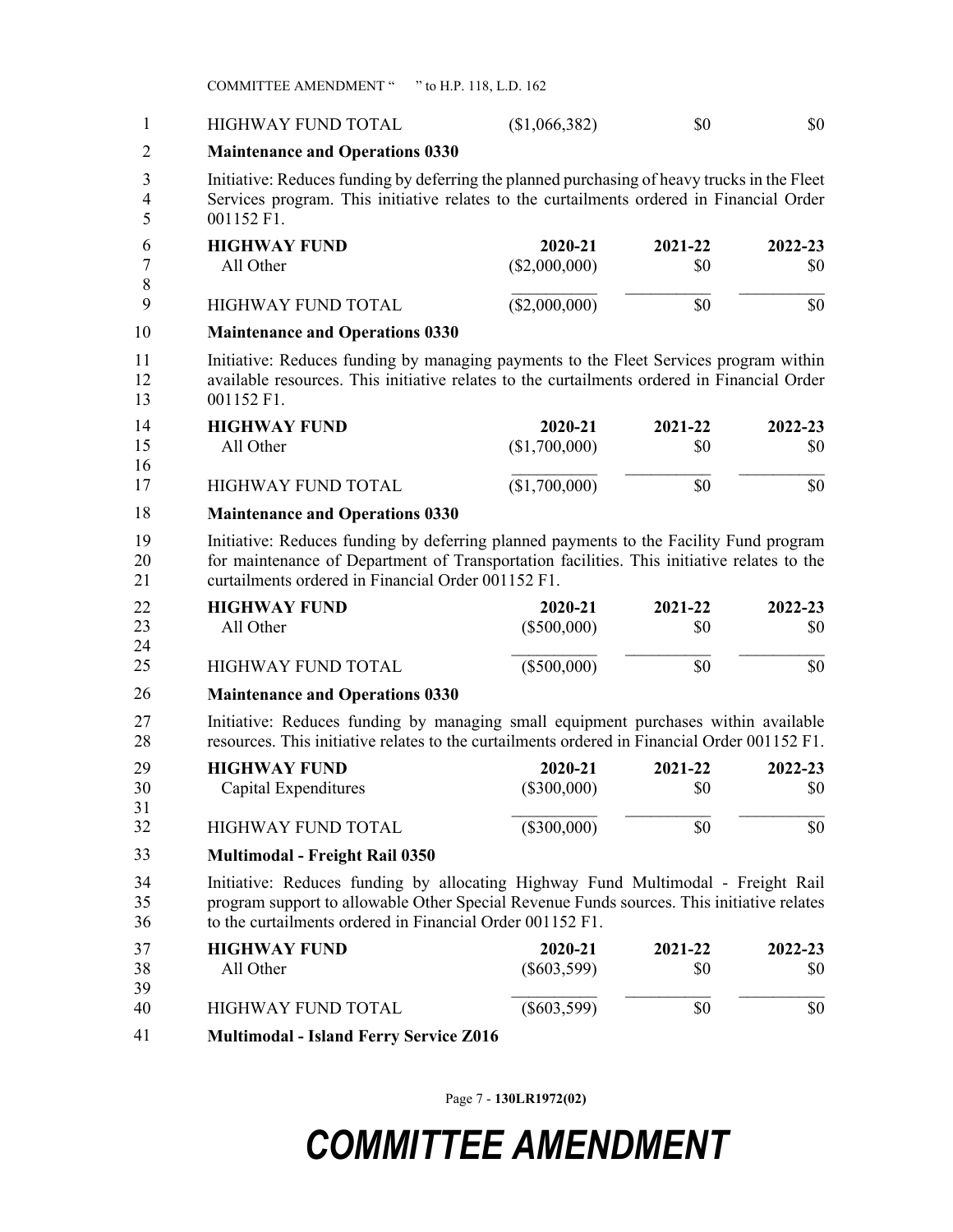COMMITTEE AMENDMENT " " to H.P. 118, L.D. 162

| $\mathbf{1}$   | <b>HIGHWAY FUND TOTAL</b>                                                                                                                                                                                                                  | (\$1,066,382)            | \$0            | \$0            |
|----------------|--------------------------------------------------------------------------------------------------------------------------------------------------------------------------------------------------------------------------------------------|--------------------------|----------------|----------------|
| $\overline{2}$ | <b>Maintenance and Operations 0330</b>                                                                                                                                                                                                     |                          |                |                |
| 3<br>4<br>5    | Initiative: Reduces funding by deferring the planned purchasing of heavy trucks in the Fleet<br>Services program. This initiative relates to the curtailments ordered in Financial Order<br>001152 F1.                                     |                          |                |                |
| 6<br>7<br>8    | <b>HIGHWAY FUND</b><br>All Other                                                                                                                                                                                                           | 2020-21<br>(\$2,000,000) | 2021-22<br>\$0 | 2022-23<br>\$0 |
| 9              | <b>HIGHWAY FUND TOTAL</b>                                                                                                                                                                                                                  | (\$2,000,000)            | \$0            | \$0            |
| 10             | <b>Maintenance and Operations 0330</b>                                                                                                                                                                                                     |                          |                |                |
| 11<br>12<br>13 | Initiative: Reduces funding by managing payments to the Fleet Services program within<br>available resources. This initiative relates to the curtailments ordered in Financial Order<br>001152 F1.                                         |                          |                |                |
| 14<br>15<br>16 | <b>HIGHWAY FUND</b><br>All Other                                                                                                                                                                                                           | 2020-21<br>(\$1,700,000) | 2021-22<br>\$0 | 2022-23<br>\$0 |
| 17             | <b>HIGHWAY FUND TOTAL</b>                                                                                                                                                                                                                  | (\$1,700,000)            | \$0            | \$0            |
| 18             | <b>Maintenance and Operations 0330</b>                                                                                                                                                                                                     |                          |                |                |
| 19<br>20<br>21 | Initiative: Reduces funding by deferring planned payments to the Facility Fund program<br>for maintenance of Department of Transportation facilities. This initiative relates to the<br>curtailments ordered in Financial Order 001152 F1. |                          |                |                |
| 22<br>23<br>24 | <b>HIGHWAY FUND</b><br>All Other                                                                                                                                                                                                           | 2020-21<br>$(\$500,000)$ | 2021-22<br>\$0 | 2022-23<br>\$0 |
| 25             | <b>HIGHWAY FUND TOTAL</b>                                                                                                                                                                                                                  | $(\$500,000)$            | \$0            | \$0            |
| 26             | <b>Maintenance and Operations 0330</b>                                                                                                                                                                                                     |                          |                |                |
| 27<br>28       | Initiative: Reduces funding by managing small equipment purchases within available<br>resources. This initiative relates to the curtailments ordered in Financial Order 001152 F1.                                                         |                          |                |                |
| 29<br>30<br>31 | <b>HIGHWAY FUND</b><br>Capital Expenditures                                                                                                                                                                                                | 2020-21<br>$(\$300,000)$ | 2021-22<br>\$0 | 2022-23<br>\$0 |
| 32             | HIGHWAY FUND TOTAL                                                                                                                                                                                                                         | $(\$300,000)$            | \$0            | \$0            |
| 33             | <b>Multimodal - Freight Rail 0350</b>                                                                                                                                                                                                      |                          |                |                |
| 34<br>35<br>36 | Initiative: Reduces funding by allocating Highway Fund Multimodal - Freight Rail<br>program support to allowable Other Special Revenue Funds sources. This initiative relates<br>to the curtailments ordered in Financial Order 001152 F1. |                          |                |                |
| 37<br>38<br>39 | <b>HIGHWAY FUND</b><br>All Other                                                                                                                                                                                                           | 2020-21<br>$(\$603,599)$ | 2021-22<br>\$0 | 2022-23<br>\$0 |
| 40             | <b>HIGHWAY FUND TOTAL</b>                                                                                                                                                                                                                  | $(\$603,599)$            | \$0            | \$0            |
| 41             | <b>Multimodal - Island Ferry Service Z016</b>                                                                                                                                                                                              |                          |                |                |

Page 7 - **130LR1972(02)**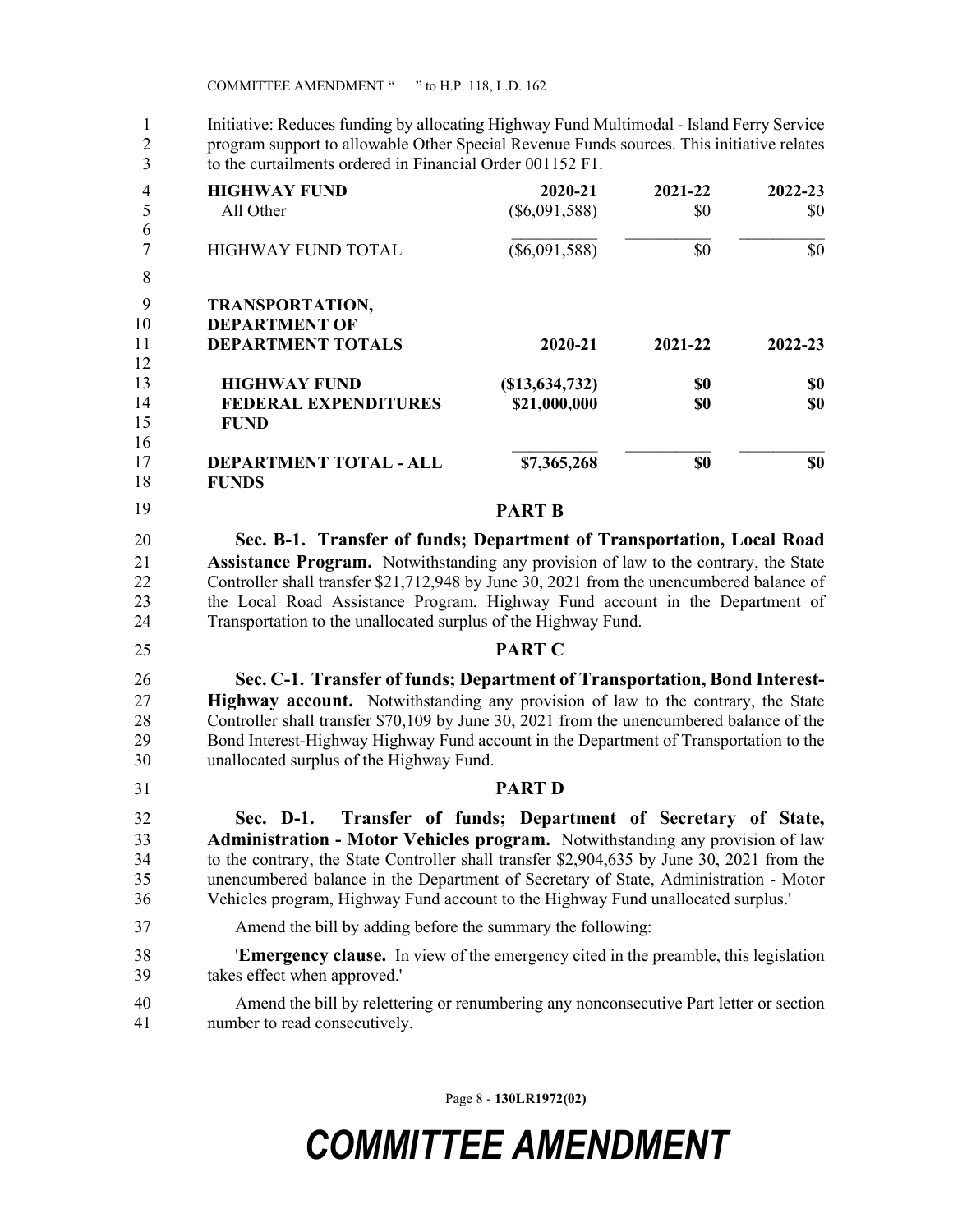1 Initiative: Reduces funding by allocating Highway Fund Multimodal - Island Ferry Service 2 program support to allowable Other Special Revenue Funds sources. This initiative relates 3 to the curtailments ordered in Financial Order 001152 F1.

| to the curtailments ordered in Financial Order 001152 F1.                                                                                                                                                                                                                                                               |                                                      |         |         |
|-------------------------------------------------------------------------------------------------------------------------------------------------------------------------------------------------------------------------------------------------------------------------------------------------------------------------|------------------------------------------------------|---------|---------|
| <b>HIGHWAY FUND</b>                                                                                                                                                                                                                                                                                                     | 2020-21                                              | 2021-22 | 2022-23 |
| All Other                                                                                                                                                                                                                                                                                                               | $(\$6,091,588)$                                      | \$0     | \$0     |
| <b>HIGHWAY FUND TOTAL</b>                                                                                                                                                                                                                                                                                               | $(\$6,091,588)$                                      | \$0     | \$0     |
| <b>TRANSPORTATION,</b>                                                                                                                                                                                                                                                                                                  |                                                      |         |         |
| <b>DEPARTMENT OF</b>                                                                                                                                                                                                                                                                                                    |                                                      |         |         |
| <b>DEPARTMENT TOTALS</b>                                                                                                                                                                                                                                                                                                | 2020-21                                              | 2021-22 | 2022-23 |
| <b>HIGHWAY FUND</b>                                                                                                                                                                                                                                                                                                     | (\$13,634,732)                                       | \$0     | \$0     |
| <b>FEDERAL EXPENDITURES</b><br><b>FUND</b>                                                                                                                                                                                                                                                                              | \$21,000,000                                         | \$0     | \$0     |
| DEPARTMENT TOTAL - ALL<br><b>FUNDS</b>                                                                                                                                                                                                                                                                                  | \$7,365,268                                          | \$0     | \$0     |
|                                                                                                                                                                                                                                                                                                                         | <b>PART B</b>                                        |         |         |
| Sec. B-1. Transfer of funds; Department of Transportation, Local Road                                                                                                                                                                                                                                                   |                                                      |         |         |
| <b>Assistance Program.</b> Notwithstanding any provision of law to the contrary, the State                                                                                                                                                                                                                              |                                                      |         |         |
| Controller shall transfer \$21,712,948 by June 30, 2021 from the unencumbered balance of                                                                                                                                                                                                                                |                                                      |         |         |
| the Local Road Assistance Program, Highway Fund account in the Department of                                                                                                                                                                                                                                            |                                                      |         |         |
| Transportation to the unallocated surplus of the Highway Fund.                                                                                                                                                                                                                                                          |                                                      |         |         |
|                                                                                                                                                                                                                                                                                                                         | <b>PART C</b>                                        |         |         |
| Sec. C-1. Transfer of funds; Department of Transportation, Bond Interest-                                                                                                                                                                                                                                               |                                                      |         |         |
| <b>Highway account.</b> Notwithstanding any provision of law to the contrary, the State                                                                                                                                                                                                                                 |                                                      |         |         |
| Controller shall transfer \$70,109 by June 30, 2021 from the unencumbered balance of the                                                                                                                                                                                                                                |                                                      |         |         |
| Bond Interest-Highway Highway Fund account in the Department of Transportation to the                                                                                                                                                                                                                                   |                                                      |         |         |
|                                                                                                                                                                                                                                                                                                                         |                                                      |         |         |
| unallocated surplus of the Highway Fund.                                                                                                                                                                                                                                                                                |                                                      |         |         |
|                                                                                                                                                                                                                                                                                                                         | <b>PART D</b>                                        |         |         |
| Sec. D-1.                                                                                                                                                                                                                                                                                                               | Transfer of funds; Department of Secretary of State, |         |         |
|                                                                                                                                                                                                                                                                                                                         |                                                      |         |         |
|                                                                                                                                                                                                                                                                                                                         |                                                      |         |         |
|                                                                                                                                                                                                                                                                                                                         |                                                      |         |         |
|                                                                                                                                                                                                                                                                                                                         |                                                      |         |         |
| Administration - Motor Vehicles program. Notwithstanding any provision of law<br>unencumbered balance in the Department of Secretary of State, Administration - Motor<br>Vehicles program, Highway Fund account to the Highway Fund unallocated surplus.'<br>Amend the bill by adding before the summary the following: |                                                      |         |         |
| to the contrary, the State Controller shall transfer \$2,904,635 by June 30, 2021 from the                                                                                                                                                                                                                              |                                                      |         |         |
| <b>Emergency clause.</b> In view of the emergency cited in the preamble, this legislation                                                                                                                                                                                                                               |                                                      |         |         |
| takes effect when approved."<br>Amend the bill by relettering or renumbering any nonconsecutive Part letter or section                                                                                                                                                                                                  |                                                      |         |         |

41 number to read consecutively.

Page 8 - **130LR1972(02)**